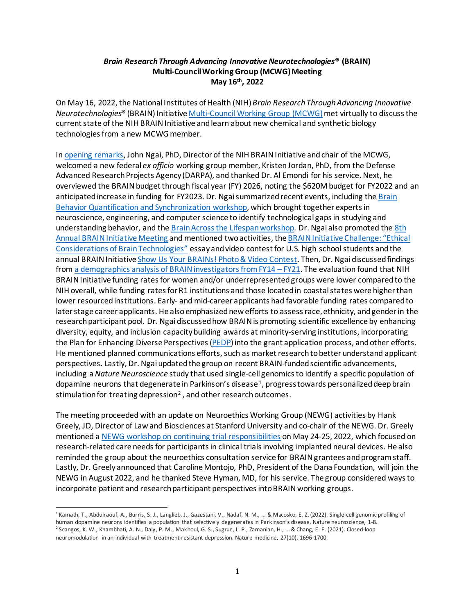## *Brain Research Through Advancing Innovative Neurotechnologies***® (BRAIN) Multi-Council Working Group (MCWG) Meeting May 16th, 2022**

On May 16, 2022, the National Institutes of Health (NIH) *Brain Research Through Advancing Innovative Neurotechnologies*® (BRAIN) Initiativ[e Multi-Council Working Group \(MCWG\)](https://braininitiative.nih.gov/about/multi-council-working-group)met virtually to discuss the current state of the NIH BRAIN Initiative and learn about new chemical and synthetic biology technologies from a new MCWG member.

I[n opening remarks,](https://videocast.nih.gov/watch=44979) John Ngai, PhD, Director of the NIH BRAIN Initiative and chair of the MCWG, welcomed a new federal *ex officio* working group member, Kristen Jordan, PhD, from the Defense Advanced Research Projects Agency (DARPA), and thanked Dr. Al Emondi for his service. Next, he overviewed the BRAIN budget through fiscal year (FY) 2026, noting the \$620M budget for FY2022 and an anticipated increase in funding for FY2023. Dr. Ngai summarized recent events, including the [Brain](https://braininitiative.nih.gov/News-Events/event/brain-behavior-quantification-synchronization-workshop)  [Behavior Quantification and Synchronization workshop,](https://braininitiative.nih.gov/News-Events/event/brain-behavior-quantification-synchronization-workshop) which brought together experts in neuroscience, engineering, and computer science to identify technological gaps in studying and understanding behavior, and the [Brain Across the Lifespan workshop.](https://braininitiative.nih.gov/News-Events/event/brain-across-lifespan-tools-and-methodologies-measuring-changing-brain) Dr. Ngai also promoted th[e 8th](https://braininitiative.nih.gov/News-Events/event/8th-annual-brain-initiative-meeting) [Annual BRAIN Initiative Meeting](https://braininitiative.nih.gov/News-Events/event/8th-annual-brain-initiative-meeting) and mentioned two activities, th[e BRAIN Initiative Challenge:](https://www.challenge.gov/?challenge=brain-initiative-2022) "Ethical [Considerations of Brain Technologies"](https://www.challenge.gov/?challenge=brain-initiative-2022) essay and video contest for U.S. high school students and the annual BRAIN Initiativ[e Show Us Your BRAINs! Photo & Video Contest.](https://braininitiative.nih.gov/news-events/show-us-your-brains-photo-video-contest) Then, Dr. Ngai discussed findings from [a demographics analysis of BRAIN investigators from FY14 –](https://braininitiative.nih.gov/sites/default/files/images/2022-05-11_brain_demographics_fy14-21_oer_approved_508c.pdf) FY21. The evaluation found that NIH BRAIN Initiative funding rates for women and/or underrepresented groups were lower compared to the NIH overall, while funding rates for R1 institutions and those located in coastal states were higher than lower resourced institutions. Early- and mid-career applicants had favorable funding rates compared to later stage career applicants. He alsoemphasized new efforts to assess race, ethnicity, and gender in the research participant pool. Dr. Ngaidiscussed how BRAIN is promoting scientific excellence by enhancing diversity, equity, and inclusion capacity building awards at minority-serving institutions, incorporating the Plan for Enhancing Diverse Perspectives [\(PEDP\)](https://braininitiative.nih.gov/about/plan-enhancing-diverse-perspectives-pedp) into the grant application process, and other efforts. He mentioned planned communications efforts, such as market research to better understand applicant perspectives. Lastly, Dr. Ngai updated the group on recent BRAIN-funded scientific advancements, including a *Nature Neuroscience* study that used single-cell genomics to identify a specific population of dopamine neurons that degenerate in Parkinson's disease<sup>[1](#page-0-0)</sup>, progress towards personalized deep brain stimulation for treating depression<sup>[2](#page-0-1)</sup>, and other research outcomes.

The meeting proceeded with an update on Neuroethics Working Group (NEWG) activities by Hank Greely, JD, Director of Law and Biosciences at Stanford University and co-chair of the NEWG. Dr. Greely mentioned a [NEWG workshop on continuing trial responsibilities](https://braininitiative.nih.gov/News-Events/event/brain-neuroethics-working-group-newg-workshop-continuing-trial-responsibilities) on May 24-25, 2022, which focused on research-related care needs for participants in clinical trials involving implanted neural devices. He also reminded the group about the neuroethics consultation service for BRAINgrantees and program staff. Lastly, Dr. Greely announced that Caroline Montojo, PhD, President of the Dana Foundation, will join the NEWG in August 2022, and he thanked Steve Hyman, MD, for his service. The group considered ways to incorporate patient and research participant perspectives into BRAIN working groups.

<span id="page-0-0"></span><sup>&</sup>lt;sup>1</sup> Kamath, T., Abdulraouf, A., Burris, S. J., Langlieb, J., Gazestani, V., Nadaf, N. M., ... & Macosko, E. Z. (2022). Single-cell genomic profiling of human dopamine neurons identifies a population that selectively degenerates in Parkinson's disease. Nature neuroscience, 1-8.

<span id="page-0-1"></span><sup>2</sup> Scangos, K. W., Khambhati, A. N., Daly, P. M., Makhoul, G. S., Sugrue, L. P., Zamanian, H., ... & Chang, E. F. (2021). Closed-loop neuromodulation in an individual with treatment-resistant depression. Nature medicine, 27(10), 1696-1700.